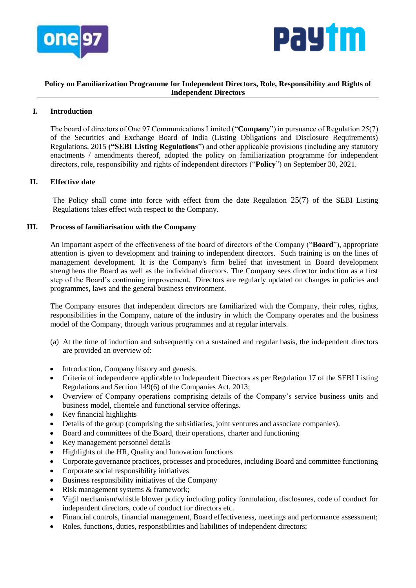



# **Policy on Familiarization Programme for Independent Directors, Role, Responsibility and Rights of Independent Directors**

# **I. Introduction**

The board of directors of One 97 Communications Limited ("**Company**") in pursuance of Regulation 25(7) of the Securities and Exchange Board of India (Listing Obligations and Disclosure Requirements) Regulations, 2015 **("SEBI Listing Regulations**") and other applicable provisions (including any statutory enactments / amendments thereof, adopted the policy on familiarization programme for independent directors, role, responsibility and rights of independent directors ("**Policy**") on September 30, 2021.

# **II. Effective date**

The Policy shall come into force with effect from the date Regulation 25(7) of the SEBI Listing Regulations takes effect with respect to the Company.

# **III. Process of familiarisation with the Company**

An important aspect of the effectiveness of the board of directors of the Company ("**Board**"), appropriate attention is given to development and training to independent directors. Such training is on the lines of management development. It is the Company's firm belief that investment in Board development strengthens the Board as well as the individual directors. The Company sees director induction as a first step of the Board's continuing improvement. Directors are regularly updated on changes in policies and programmes, laws and the general business environment.

The Company ensures that independent directors are familiarized with the Company, their roles, rights, responsibilities in the Company, nature of the industry in which the Company operates and the business model of the Company, through various programmes and at regular intervals.

- (a) At the time of induction and subsequently on a sustained and regular basis, the independent directors are provided an overview of:
- Introduction, Company history and genesis.
- Criteria of independence applicable to Independent Directors as per Regulation 17 of the SEBI Listing Regulations and Section 149(6) of the Companies Act, 2013;
- Overview of Company operations comprising details of the Company's service business units and business model, clientele and functional service offerings.
- $\bullet$  Key financial highlights
- Details of the group (comprising the subsidiaries, joint ventures and associate companies).
- Board and committees of the Board, their operations, charter and functioning
- Key management personnel details
- Highlights of the HR, Quality and Innovation functions
- Corporate governance practices, processes and procedures, including Board and committee functioning
- Corporate social responsibility initiatives
- Business responsibility initiatives of the Company
- Risk management systems & framework;
- Vigil mechanism/whistle blower policy including policy formulation, disclosures, code of conduct for independent directors, code of conduct for directors etc.
- Financial controls, financial management, Board effectiveness, meetings and performance assessment;
- Roles, functions, duties, responsibilities and liabilities of independent directors;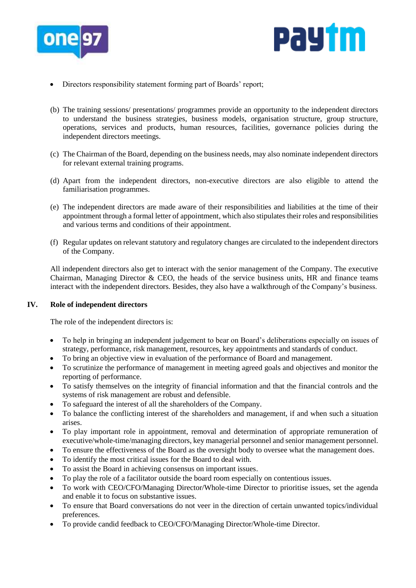



- Directors responsibility statement forming part of Boards' report;
- (b) The training sessions/ presentations/ programmes provide an opportunity to the independent directors to understand the business strategies, business models, organisation structure, group structure, operations, services and products, human resources, facilities, governance policies during the independent directors meetings.
- (c) The Chairman of the Board, depending on the business needs, may also nominate independent directors for relevant external training programs.
- (d) Apart from the independent directors, non-executive directors are also eligible to attend the familiarisation programmes.
- (e) The independent directors are made aware of their responsibilities and liabilities at the time of their appointment through a formal letter of appointment, which also stipulates their roles and responsibilities and various terms and conditions of their appointment.
- (f) Regular updates on relevant statutory and regulatory changes are circulated to the independent directors of the Company.

All independent directors also get to interact with the senior management of the Company. The executive Chairman, Managing Director & CEO, the heads of the service business units, HR and finance teams interact with the independent directors. Besides, they also have a walkthrough of the Company's business.

## **IV. Role of independent directors**

The role of the independent directors is:

- To help in bringing an independent judgement to bear on Board's deliberations especially on issues of strategy, performance, risk management, resources, key appointments and standards of conduct.
- To bring an objective view in evaluation of the performance of Board and management.
- To scrutinize the performance of management in meeting agreed goals and objectives and monitor the reporting of performance.
- To satisfy themselves on the integrity of financial information and that the financial controls and the systems of risk management are robust and defensible.
- To safeguard the interest of all the shareholders of the Company.
- To balance the conflicting interest of the shareholders and management, if and when such a situation arises.
- To play important role in appointment, removal and determination of appropriate remuneration of executive/whole-time/managing directors, key managerial personnel and senior management personnel.
- To ensure the effectiveness of the Board as the oversight body to oversee what the management does.
- To identify the most critical issues for the Board to deal with.
- To assist the Board in achieving consensus on important issues.
- To play the role of a facilitator outside the board room especially on contentious issues.
- To work with CEO/CFO/Managing Director/Whole-time Director to prioritise issues, set the agenda and enable it to focus on substantive issues.
- To ensure that Board conversations do not veer in the direction of certain unwanted topics/individual preferences.
- To provide candid feedback to CEO/CFO/Managing Director/Whole-time Director.